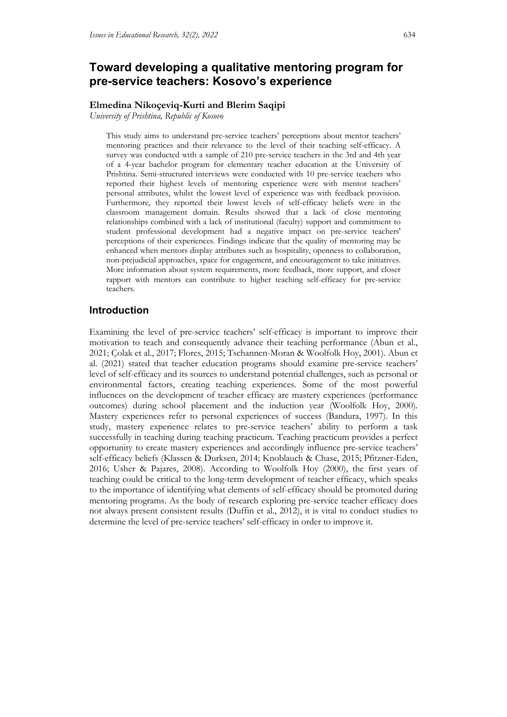# **Toward developing a qualitative mentoring program for pre-service teachers: Kosovo's experience**

## **Elmedina Nikoçeviq-Kurti and Blerim Saqipi**

*University of Prishtina, Republic of Kosovo*

This study aims to understand pre-service teachers' perceptions about mentor teachers' mentoring practices and their relevance to the level of their teaching self-efficacy. A survey was conducted with a sample of 210 pre-service teachers in the 3rd and 4th year of a 4-year bachelor program for elementary teacher education at the University of Prishtina. Semi-structured interviews were conducted with 10 pre-service teachers who reported their highest levels of mentoring experience were with mentor teachers' personal attributes, whilst the lowest level of experience was with feedback provision. Furthermore, they reported their lowest levels of self-efficacy beliefs were in the classroom management domain. Results showed that a lack of close mentoring relationships combined with a lack of institutional (faculty) support and commitment to student professional development had a negative impact on pre-service teachers' perceptions of their experiences. Findings indicate that the quality of mentoring may be enhanced when mentors display attributes such as hospitality, openness to collaboration, non-prejudicial approaches, space for engagement, and encouragement to take initiatives. More information about system requirements, more feedback, more support, and closer rapport with mentors can contribute to higher teaching self-efficacy for pre-service teachers.

## **Introduction**

Examining the level of pre-service teachers' self-efficacy is important to improve their motivation to teach and consequently advance their teaching performance (Abun et al., 2021; Çolak et al., 2017; Flores, 2015; Tschannen-Moran & Woolfolk Hoy, 2001). Abun et al. (2021) stated that teacher education programs should examine pre-service teachers' level of self-efficacy and its sources to understand potential challenges, such as personal or environmental factors, creating teaching experiences. Some of the most powerful influences on the development of teacher efficacy are mastery experiences (performance outcomes) during school placement and the induction year (Woolfolk Hoy, 2000). Mastery experiences refer to personal experiences of success (Bandura, 1997). In this study, mastery experience relates to pre-service teachers' ability to perform a task successfully in teaching during teaching practicum. Teaching practicum provides a perfect opportunity to create mastery experiences and accordingly influence pre-service teachers' self-efficacy beliefs (Klassen & Durksen, 2014; Knoblauch & Chase, 2015; Pfitzner-Eden, 2016; Usher & Pajares, 2008). According to Woolfolk Hoy (2000), the first years of teaching could be critical to the long-term development of teacher efficacy, which speaks to the importance of identifying what elements of self-efficacy should be promoted during mentoring programs. As the body of research exploring pre-service teacher efficacy does not always present consistent results (Duffin et al., 2012), it is vital to conduct studies to determine the level of pre-service teachers' self-efficacy in order to improve it.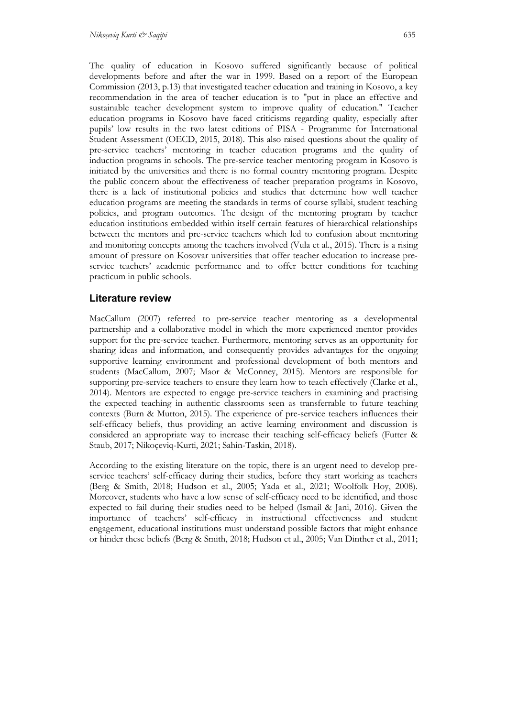The quality of education in Kosovo suffered significantly because of political developments before and after the war in 1999. Based on a report of the European Commission (2013, p.13) that investigated teacher education and training in Kosovo, a key recommendation in the area of teacher education is to "put in place an effective and sustainable teacher development system to improve quality of education." Teacher education programs in Kosovo have faced criticisms regarding quality, especially after pupils' low results in the two latest editions of PISA - Programme for International Student Assessment (OECD, 2015, 2018). This also raised questions about the quality of pre-service teachers' mentoring in teacher education programs and the quality of induction programs in schools. The pre-service teacher mentoring program in Kosovo is initiated by the universities and there is no formal country mentoring program. Despite the public concern about the effectiveness of teacher preparation programs in Kosovo, there is a lack of institutional policies and studies that determine how well teacher education programs are meeting the standards in terms of course syllabi, student teaching policies, and program outcomes. The design of the mentoring program by teacher education institutions embedded within itself certain features of hierarchical relationships between the mentors and pre-service teachers which led to confusion about mentoring and monitoring concepts among the teachers involved (Vula et al., 2015). There is a rising amount of pressure on Kosovar universities that offer teacher education to increase preservice teachers' academic performance and to offer better conditions for teaching practicum in public schools.

## **Literature review**

MacCallum (2007) referred to pre-service teacher mentoring as a developmental partnership and a collaborative model in which the more experienced mentor provides support for the pre-service teacher. Furthermore, mentoring serves as an opportunity for sharing ideas and information, and consequently provides advantages for the ongoing supportive learning environment and professional development of both mentors and students (MacCallum, 2007; Maor & McConney, 2015). Mentors are responsible for supporting pre-service teachers to ensure they learn how to teach effectively (Clarke et al., 2014). Mentors are expected to engage pre-service teachers in examining and practising the expected teaching in authentic classrooms seen as transferrable to future teaching contexts (Burn & Mutton, 2015). The experience of pre-service teachers influences their self-efficacy beliefs, thus providing an active learning environment and discussion is considered an appropriate way to increase their teaching self-efficacy beliefs (Futter & Staub, 2017; Nikoçeviq-Kurti, 2021; Sahin-Taskin, 2018).

According to the existing literature on the topic, there is an urgent need to develop preservice teachers' self-efficacy during their studies, before they start working as teachers (Berg & Smith, 2018; Hudson et al., 2005; Yada et al., 2021; Woolfolk Hoy, 2008). Moreover, students who have a low sense of self-efficacy need to be identified, and those expected to fail during their studies need to be helped (Ismail & Jani, 2016). Given the importance of teachers' self-efficacy in instructional effectiveness and student engagement, educational institutions must understand possible factors that might enhance or hinder these beliefs (Berg & Smith, 2018; Hudson et al., 2005; Van Dinther et al., 2011;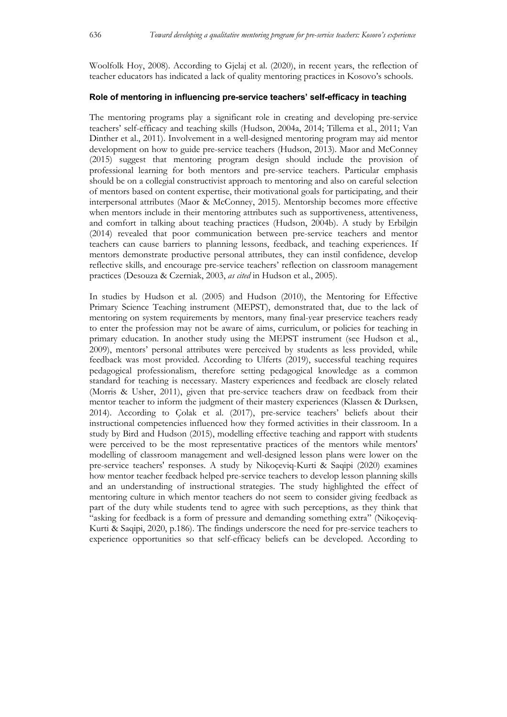Woolfolk Hoy, 2008). According to Gjelaj et al. (2020), in recent years, the reflection of teacher educators has indicated a lack of quality mentoring practices in Kosovo's schools.

## **Role of mentoring in influencing pre-service teachers' self-efficacy in teaching**

The mentoring programs play a significant role in creating and developing pre-service teachers' self-efficacy and teaching skills (Hudson, 2004a, 2014; Tillema et al., 2011; Van Dinther et al., 2011). Involvement in a well-designed mentoring program may aid mentor development on how to guide pre-service teachers (Hudson, 2013). Maor and McConney (2015) suggest that mentoring program design should include the provision of professional learning for both mentors and pre-service teachers. Particular emphasis should be on a collegial constructivist approach to mentoring and also on careful selection of mentors based on content expertise, their motivational goals for participating, and their interpersonal attributes (Maor & McConney, 2015). Mentorship becomes more effective when mentors include in their mentoring attributes such as supportiveness, attentiveness, and comfort in talking about teaching practices (Hudson, 2004b). A study by Erbilgin (2014) revealed that poor communication between pre-service teachers and mentor teachers can cause barriers to planning lessons, feedback, and teaching experiences. If mentors demonstrate productive personal attributes, they can instil confidence, develop reflective skills, and encourage pre-service teachers' reflection on classroom management practices (Desouza & Czerniak, 2003, *as cited* in Hudson et al., 2005).

In studies by Hudson et al. (2005) and Hudson (2010), the Mentoring for Effective Primary Science Teaching instrument (MEPST), demonstrated that, due to the lack of mentoring on system requirements by mentors, many final-year preservice teachers ready to enter the profession may not be aware of aims, curriculum, or policies for teaching in primary education. In another study using the MEPST instrument (see Hudson et al., 2009), mentors' personal attributes were perceived by students as less provided, while feedback was most provided. According to Ulferts (2019), successful teaching requires pedagogical professionalism, therefore setting pedagogical knowledge as a common standard for teaching is necessary. Mastery experiences and feedback are closely related (Morris & Usher, 2011), given that pre-service teachers draw on feedback from their mentor teacher to inform the judgment of their mastery experiences (Klassen & Durksen, 2014). According to Çolak et al. (2017), pre-service teachers' beliefs about their instructional competencies influenced how they formed activities in their classroom. In a study by Bird and Hudson (2015), modelling effective teaching and rapport with students were perceived to be the most representative practices of the mentors while mentors' modelling of classroom management and well-designed lesson plans were lower on the pre-service teachers' responses. A study by Nikoçeviq-Kurti & Saqipi (2020) examines how mentor teacher feedback helped pre-service teachers to develop lesson planning skills and an understanding of instructional strategies. The study highlighted the effect of mentoring culture in which mentor teachers do not seem to consider giving feedback as part of the duty while students tend to agree with such perceptions, as they think that "asking for feedback is a form of pressure and demanding something extra" (Nikoçeviq-Kurti & Saqipi, 2020, p.186). The findings underscore the need for pre-service teachers to experience opportunities so that self-efficacy beliefs can be developed. According to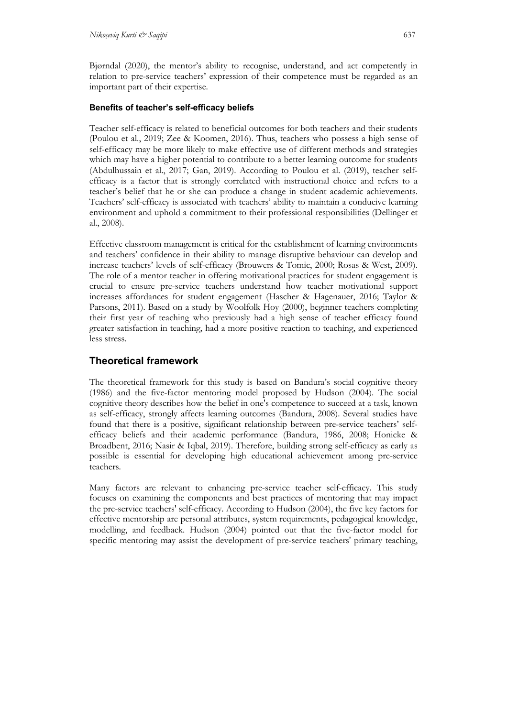Bjørndal (2020), the mentor's ability to recognise, understand, and act competently in relation to pre-service teachers' expression of their competence must be regarded as an important part of their expertise.

## **Benefits of teacher's self-efficacy beliefs**

Teacher self-efficacy is related to beneficial outcomes for both teachers and their students (Poulou et al., 2019; Zee & Koomen, 2016). Thus, teachers who possess a high sense of self-efficacy may be more likely to make effective use of different methods and strategies which may have a higher potential to contribute to a better learning outcome for students (Abdulhussain et al., 2017; Gan, 2019). According to Poulou et al. (2019), teacher selfefficacy is a factor that is strongly correlated with instructional choice and refers to a teacher's belief that he or she can produce a change in student academic achievements. Teachers' self-efficacy is associated with teachers' ability to maintain a conducive learning environment and uphold a commitment to their professional responsibilities (Dellinger et al., 2008).

Effective classroom management is critical for the establishment of learning environments and teachers' confidence in their ability to manage disruptive behaviour can develop and increase teachers' levels of self-efficacy (Brouwers & Tomic, 2000; Rosas & West, 2009). The role of a mentor teacher in offering motivational practices for student engagement is crucial to ensure pre-service teachers understand how teacher motivational support increases affordances for student engagement (Hascher & Hagenauer, 2016; Taylor & Parsons, 2011). Based on a study by Woolfolk Hoy (2000), beginner teachers completing their first year of teaching who previously had a high sense of teacher efficacy found greater satisfaction in teaching, had a more positive reaction to teaching, and experienced less stress.

# **Theoretical framework**

The theoretical framework for this study is based on Bandura's social cognitive theory (1986) and the five-factor mentoring model proposed by Hudson (2004). The social cognitive theory describes how the belief in one's competence to succeed at a task, known as self-efficacy, strongly affects learning outcomes (Bandura, 2008). Several studies have found that there is a positive, significant relationship between pre-service teachers' selfefficacy beliefs and their academic performance (Bandura, 1986, 2008; Honicke & Broadbent, 2016; Nasir & Iqbal, 2019). Therefore, building strong self-efficacy as early as possible is essential for developing high educational achievement among pre-service teachers.

Many factors are relevant to enhancing pre-service teacher self-efficacy. This study focuses on examining the components and best practices of mentoring that may impact the pre-service teachers' self-efficacy. According to Hudson (2004), the five key factors for effective mentorship are personal attributes, system requirements, pedagogical knowledge, modelling, and feedback. Hudson (2004) pointed out that the five-factor model for specific mentoring may assist the development of pre-service teachers' primary teaching,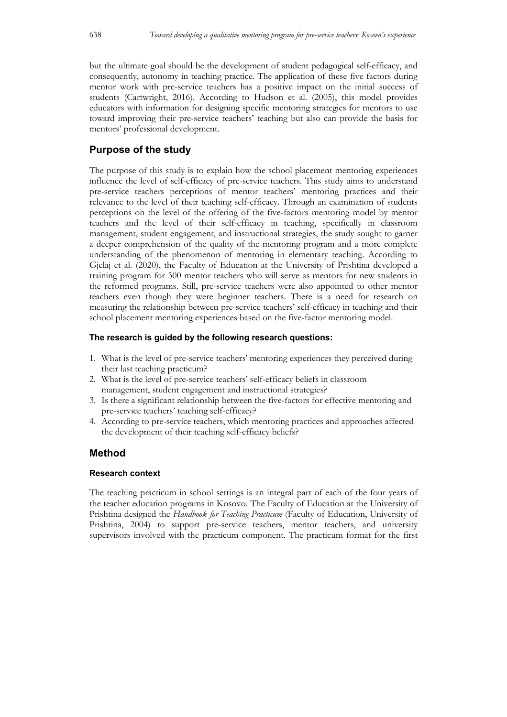but the ultimate goal should be the development of student pedagogical self-efficacy, and consequently, autonomy in teaching practice. The application of these five factors during mentor work with pre-service teachers has a positive impact on the initial success of students (Cartwright, 2016). According to Hudson et al. (2005), this model provides educators with information for designing specific mentoring strategies for mentors to use toward improving their pre-service teachers' teaching but also can provide the basis for mentors' professional development.

## **Purpose of the study**

The purpose of this study is to explain how the school placement mentoring experiences influence the level of self-efficacy of pre-service teachers. This study aims to understand pre-service teachers perceptions of mentor teachers' mentoring practices and their relevance to the level of their teaching self-efficacy. Through an examination of students perceptions on the level of the offering of the five-factors mentoring model by mentor teachers and the level of their self-efficacy in teaching, specifically in classroom management, student engagement, and instructional strategies, the study sought to garner a deeper comprehension of the quality of the mentoring program and a more complete understanding of the phenomenon of mentoring in elementary teaching. According to Gjelaj et al. (2020), the Faculty of Education at the University of Prishtina developed a training program for 300 mentor teachers who will serve as mentors for new students in the reformed programs. Still, pre-service teachers were also appointed to other mentor teachers even though they were beginner teachers. There is a need for research on measuring the relationship between pre-service teachers' self-efficacy in teaching and their school placement mentoring experiences based on the five-factor mentoring model.

## **The research is guided by the following research questions:**

- 1. What is the level of pre-service teachers' mentoring experiences they perceived during their last teaching practicum?
- 2. What is the level of pre-service teachers' self-efficacy beliefs in classroom management, student engagement and instructional strategies?
- 3. Is there a significant relationship between the five-factors for effective mentoring and pre-service teachers' teaching self-efficacy?
- 4. According to pre-service teachers, which mentoring practices and approaches affected the development of their teaching self-efficacy beliefs?

## **Method**

## **Research context**

The teaching practicum in school settings is an integral part of each of the four years of the teacher education programs in Kosovo. The Faculty of Education at the University of Prishtina designed the *Handbook for Teaching Practicum* (Faculty of Education, University of Prishtina, 2004) to support pre-service teachers, mentor teachers, and university supervisors involved with the practicum component. The practicum format for the first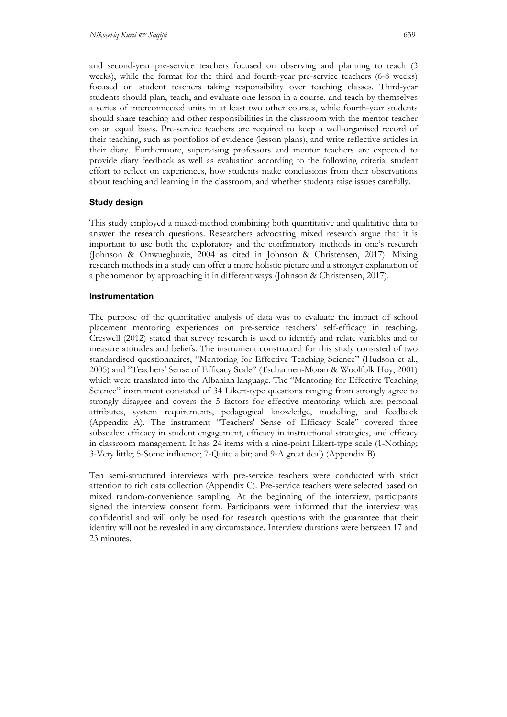and second-year pre-service teachers focused on observing and planning to teach (3 weeks), while the format for the third and fourth-year pre-service teachers (6-8 weeks) focused on student teachers taking responsibility over teaching classes. Third-year students should plan, teach, and evaluate one lesson in a course, and teach by themselves a series of interconnected units in at least two other courses, while fourth-year students should share teaching and other responsibilities in the classroom with the mentor teacher on an equal basis. Pre-service teachers are required to keep a well-organised record of their teaching, such as portfolios of evidence (lesson plans), and write reflective articles in their diary. Furthermore, supervising professors and mentor teachers are expected to provide diary feedback as well as evaluation according to the following criteria: student effort to reflect on experiences, how students make conclusions from their observations about teaching and learning in the classroom, and whether students raise issues carefully.

## **Study design**

This study employed a mixed-method combining both quantitative and qualitative data to answer the research questions. Researchers advocating mixed research argue that it is important to use both the exploratory and the confirmatory methods in one's research (Johnson & Onwuegbuzie, 2004 as cited in Johnson & Christensen, 2017). Mixing research methods in a study can offer a more holistic picture and a stronger explanation of a phenomenon by approaching it in different ways (Johnson & Christensen, 2017).

## **Instrumentation**

The purpose of the quantitative analysis of data was to evaluate the impact of school placement mentoring experiences on pre-service teachers' self-efficacy in teaching. Creswell (2012) stated that survey research is used to identify and relate variables and to measure attitudes and beliefs. The instrument constructed for this study consisted of two standardised questionnaires, "Mentoring for Effective Teaching Science" (Hudson et al., 2005) and "Teachers' Sense of Efficacy Scale" (Tschannen-Moran & Woolfolk Hoy, 2001) which were translated into the Albanian language. The "Mentoring for Effective Teaching Science" instrument consisted of 34 Likert-type questions ranging from strongly agree to strongly disagree and covers the 5 factors for effective mentoring which are: personal attributes, system requirements, pedagogical knowledge, modelling, and feedback (Appendix A). The instrument "Teachers' Sense of Efficacy Scale" covered three subscales: efficacy in student engagement, efficacy in instructional strategies, and efficacy in classroom management. It has 24 items with a nine-point Likert-type scale (1-Nothing; 3-Very little; 5-Some influence; 7-Quite a bit; and 9-A great deal) (Appendix B).

Ten semi-structured interviews with pre-service teachers were conducted with strict attention to rich data collection (Appendix C). Pre-service teachers were selected based on mixed random-convenience sampling. At the beginning of the interview, participants signed the interview consent form. Participants were informed that the interview was confidential and will only be used for research questions with the guarantee that their identity will not be revealed in any circumstance. Interview durations were between 17 and 23 minutes.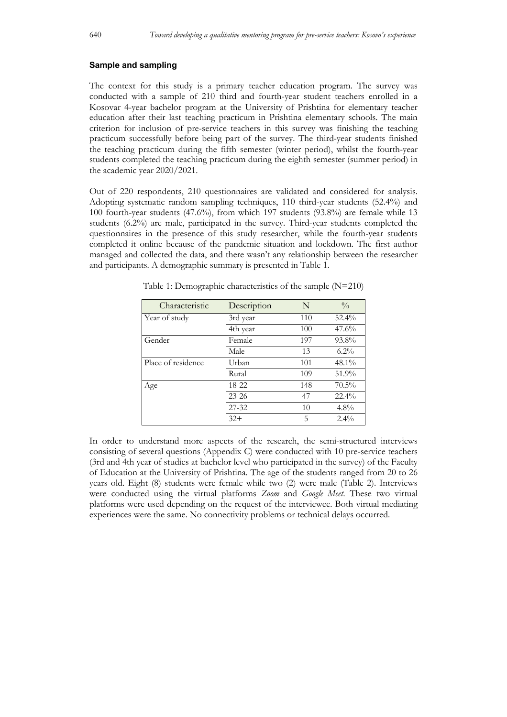#### **Sample and sampling**

The context for this study is a primary teacher education program. The survey was conducted with a sample of 210 third and fourth-year student teachers enrolled in a Kosovar 4-year bachelor program at the University of Prishtina for elementary teacher education after their last teaching practicum in Prishtina elementary schools. The main criterion for inclusion of pre-service teachers in this survey was finishing the teaching practicum successfully before being part of the survey. The third-year students finished the teaching practicum during the fifth semester (winter period), whilst the fourth-year students completed the teaching practicum during the eighth semester (summer period) in the academic year 2020/2021.

Out of 220 respondents, 210 questionnaires are validated and considered for analysis. Adopting systematic random sampling techniques, 110 third-year students (52.4%) and 100 fourth-year students (47.6%), from which 197 students (93.8%) are female while 13 students (6.2%) are male, participated in the survey. Third-year students completed the questionnaires in the presence of this study researcher, while the fourth-year students completed it online because of the pandemic situation and lockdown. The first author managed and collected the data, and there wasn't any relationship between the researcher and participants. A demographic summary is presented in Table 1.

| Characteristic     | Description | N   | $\frac{0}{0}$ |
|--------------------|-------------|-----|---------------|
| Year of study      | 3rd year    | 110 | $52.4\%$      |
|                    | 4th year    | 100 | 47.6%         |
| Gender             | Female      | 197 | 93.8%         |
|                    | Male        | 13  | $6.2\%$       |
| Place of residence | Urban       | 101 | 48.1%         |
|                    | Rural       | 109 | 51.9%         |
| Age                | 18-22       | 148 | 70.5%         |
|                    | $23 - 26$   | 47  | $22.4\%$      |
|                    | $27 - 32$   | 10  | $4.8\%$       |
|                    | $32+$       | .5  | $2.4\%$       |

Table 1: Demographic characteristics of the sample (N=210)

In order to understand more aspects of the research, the semi-structured interviews consisting of several questions (Appendix C) were conducted with 10 pre-service teachers (3rd and 4th year of studies at bachelor level who participated in the survey) of the Faculty of Education at the University of Prishtina. The age of the students ranged from 20 to 26 years old. Eight (8) students were female while two (2) were male (Table 2). Interviews were conducted using the virtual platforms *Zoom* and *Google Meet*. These two virtual platforms were used depending on the request of the interviewee. Both virtual mediating experiences were the same. No connectivity problems or technical delays occurred.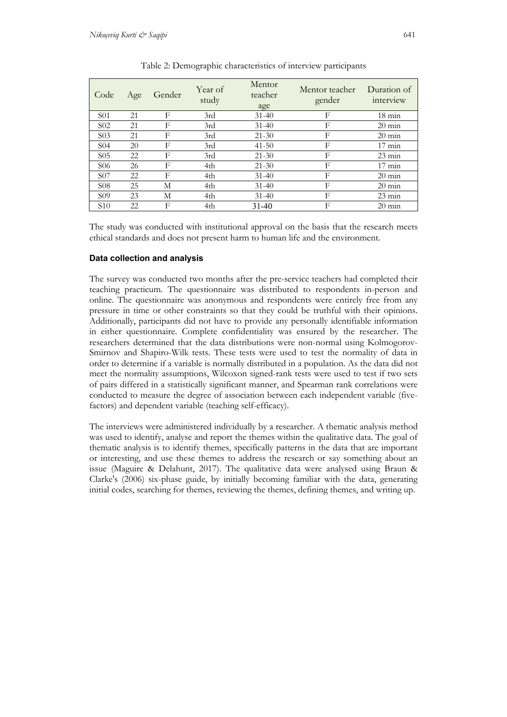| Code             | Age | Gender | Year of<br>study | Mentor<br>teacher<br>age | Mentor teacher<br>gender | Duration of<br>interview |  |
|------------------|-----|--------|------------------|--------------------------|--------------------------|--------------------------|--|
| <b>S01</b>       | 21  | F      | 3rd              | $31 - 40$                | F                        | $18 \text{ min}$         |  |
| S <sub>0</sub> 2 | 21  | F      | 3rd              | $31 - 40$                | F                        | $20 \text{ min}$         |  |
| S <sub>03</sub>  | 21  | F      | 3rd              | $21 - 30$                | F                        | $20 \text{ min}$         |  |
| S <sub>04</sub>  | 20  | F      | 3rd              | $41 - 50$                | F                        | $17 \text{ min}$         |  |
| S <sub>05</sub>  | 22  | F      | 3rd              | $21 - 30$                | F                        | $23 \text{ min}$         |  |
| S <sub>06</sub>  | 26  | F      | 4th              | $21 - 30$                | F                        | $17 \text{ min}$         |  |
| S <sub>07</sub>  | 22  | F      | 4th              | $31 - 40$                | F                        | $20 \text{ min}$         |  |
| S <sub>08</sub>  | 25  | М      | 4th              | $31 - 40$                | F                        | $20 \text{ min}$         |  |
| S <sub>09</sub>  | 23  | М      | 4th              | $31 - 40$                | F                        | $23 \text{ min}$         |  |
| S <sub>10</sub>  | 22  | F      | 4th              | $31 - 40$                | F                        | $20 \text{ min}$         |  |

Table 2: Demographic characteristics of interview participants

The study was conducted with institutional approval on the basis that the research meets ethical standards and does not present harm to human life and the environment.

## **Data collection and analysis**

The survey was conducted two months after the pre-service teachers had completed their teaching practicum. The questionnaire was distributed to respondents in-person and online. The questionnaire was anonymous and respondents were entirely free from any pressure in time or other constraints so that they could be truthful with their opinions. Additionally, participants did not have to provide any personally identifiable information in either questionnaire. Complete confidentiality was ensured by the researcher. The researchers determined that the data distributions were non-normal using Kolmogorov-Smirnov and Shapiro-Wilk tests. These tests were used to test the normality of data in order to determine if a variable is normally distributed in a population. As the data did not meet the normality assumptions, Wilcoxon signed-rank tests were used to test if two sets of pairs differed in a statistically significant manner, and Spearman rank correlations were conducted to measure the degree of association between each independent variable (fivefactors) and dependent variable (teaching self-efficacy).

The interviews were administered individually by a researcher. A thematic analysis method was used to identify, analyse and report the themes within the qualitative data. The goal of thematic analysis is to identify themes, specifically patterns in the data that are important or interesting, and use these themes to address the research or say something about an issue (Maguire & Delahunt, 2017). The qualitative data were analysed using Braun & Clarke's (2006) six-phase guide, by initially becoming familiar with the data, generating initial codes, searching for themes, reviewing the themes, defining themes, and writing up.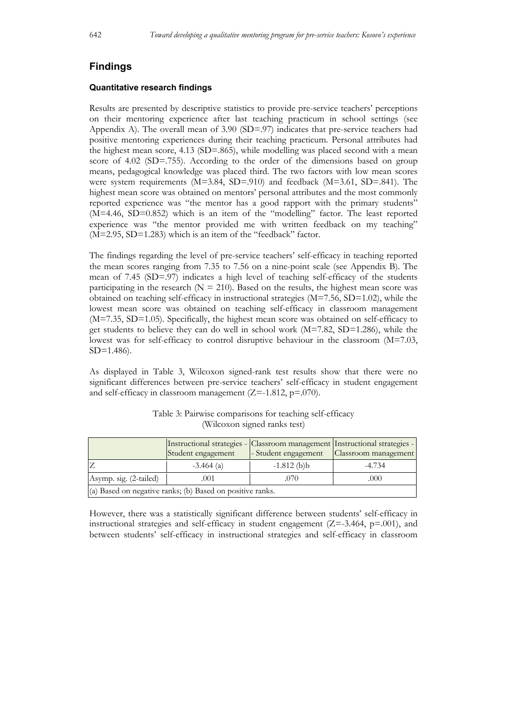## **Findings**

#### **Quantitative research findings**

Results are presented by descriptive statistics to provide pre-service teachers' perceptions on their mentoring experience after last teaching practicum in school settings (see Appendix A). The overall mean of 3.90 (SD=.97) indicates that pre-service teachers had positive mentoring experiences during their teaching practicum. Personal attributes had the highest mean score,  $4.13$  (SD=.865), while modelling was placed second with a mean score of 4.02 (SD=.755). According to the order of the dimensions based on group means, pedagogical knowledge was placed third. The two factors with low mean scores were system requirements  $(M=3.84, SD=910)$  and feedback  $(M=3.61, SD=841)$ . The highest mean score was obtained on mentors' personal attributes and the most commonly reported experience was "the mentor has a good rapport with the primary students" (M=4.46, SD=0.852) which is an item of the "modelling" factor. The least reported experience was "the mentor provided me with written feedback on my teaching" (M=2.95, SD=1.283) which is an item of the "feedback" factor.

The findings regarding the level of pre-service teachers' self-efficacy in teaching reported the mean scores ranging from 7.35 to 7.56 on a nine-point scale (see Appendix B). The mean of 7.45 (SD=.97) indicates a high level of teaching self-efficacy of the students participating in the research ( $N = 210$ ). Based on the results, the highest mean score was obtained on teaching self-efficacy in instructional strategies  $(M=7.56, SD=1.02)$ , while the lowest mean score was obtained on teaching self-efficacy in classroom management (M=7.35, SD=1.05). Specifically, the highest mean score was obtained on self-efficacy to get students to believe they can do well in school work (M=7.82, SD=1.286), while the lowest was for self-efficacy to control disruptive behaviour in the classroom (M=7.03, SD=1.486).

As displayed in Table 3, Wilcoxon signed-rank test results show that there were no significant differences between pre-service teachers' self-efficacy in student engagement and self-efficacy in classroom management  $(Z=-1.812, p=.070)$ .

|                                                           | Instructional strategies - Classroom management Instructional strategies -<br>Student engagement | - Student engagement | Classroom management |  |  |
|-----------------------------------------------------------|--------------------------------------------------------------------------------------------------|----------------------|----------------------|--|--|
|                                                           | $-3.464$ (a)                                                                                     | $-1.812$ (b)b        | $-4.734$             |  |  |
| Asymp. sig. (2-tailed)                                    | .001                                                                                             | .070                 | .000                 |  |  |
| (a) Based on negative ranks; (b) Based on positive ranks. |                                                                                                  |                      |                      |  |  |

Table 3: Pairwise comparisons for teaching self-efficacy (Wilcoxon signed ranks test)

However, there was a statistically significant difference between students' self-efficacy in instructional strategies and self-efficacy in student engagement  $(Z=3.464, p=.001)$ , and between students' self-efficacy in instructional strategies and self-efficacy in classroom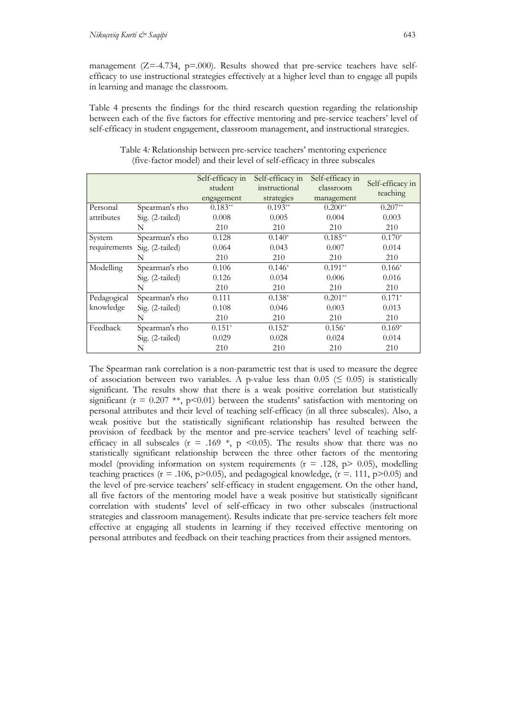management ( $Z = -4.734$ ,  $p = .000$ ). Results showed that pre-service teachers have selfefficacy to use instructional strategies effectively at a higher level than to engage all pupils in learning and manage the classroom.

Table 4 presents the findings for the third research question regarding the relationship between each of the five factors for effective mentoring and pre-service teachers' level of self-efficacy in student engagement, classroom management, and instructional strategies.

|              |                 | Self-efficacy in<br>student<br>engagement | Self-efficacy in<br>instructional<br>strategies | Self-efficacy in<br>classroom<br>management | Self-efficacy in<br>teaching |
|--------------|-----------------|-------------------------------------------|-------------------------------------------------|---------------------------------------------|------------------------------|
| Personal     | Spearman's rho  | $0.183**$                                 | $0.193**$                                       | $0.200**$                                   | $0.207**$                    |
| attributes   | Sig. (2-tailed) | 0.008                                     | 0.005                                           | 0.004                                       | 0.003                        |
|              | N               | 210                                       | 210                                             | 210                                         | 210                          |
| System       | Spearman's rho  | 0.128                                     | $0.140*$                                        | $0.185**$                                   | $0.170*$                     |
| requirements | Sig. (2-tailed) | 0.064                                     | 0.043                                           | 0.007                                       | 0.014                        |
|              | N               | 210                                       | 210                                             | 210                                         | 210                          |
| Modelling    | Spearman's rho  | 0.106                                     | $0.146*$                                        | $0.191**$                                   | $0.166*$                     |
|              | Sig. (2-tailed) | 0.126                                     | 0.034                                           | 0.006                                       | 0.016                        |
|              | N               | 210                                       | 210                                             | 210                                         | 210                          |
| Pedagogical  | Spearman's rho  | 0.111                                     | $0.138*$                                        | $0.201**$                                   | $0.171*$                     |
| knowledge    | Sig. (2-tailed) | 0.108                                     | 0.046                                           | 0.003                                       | 0.013                        |
|              | N               | 210                                       | 210                                             | 210                                         | 210                          |
| Feedback     | Spearman's rho  | $0.151*$                                  | $0.152*$                                        | $0.156*$                                    | $0.169*$                     |
|              | Sig. (2-tailed) | 0.029                                     | 0.028                                           | 0.024                                       | 0.014                        |
|              | N               | 210                                       | 210                                             | 210                                         | 210                          |

Table 4*:* Relationship between pre-service teachers' mentoring experience (five-factor model) and their level of self-efficacy in three subscales

The Spearman rank correlation is a non-parametric test that is used to measure the degree of association between two variables. A p-value less than  $0.05 \leq 0.05$  is statistically significant. The results show that there is a weak positive correlation but statistically significant ( $r = 0.207$  \*\*,  $p < 0.01$ ) between the students' satisfaction with mentoring on personal attributes and their level of teaching self-efficacy (in all three subscales). Also, a weak positive but the statistically significant relationship has resulted between the provision of feedback by the mentor and pre-service teachers' level of teaching selfefficacy in all subscales (r = .169  $*$ , p <0.05). The results show that there was no statistically significant relationship between the three other factors of the mentoring model (providing information on system requirements ( $r = .128$ ,  $p > 0.05$ ), modelling teaching practices ( $r = .106$ , p $> 0.05$ ), and pedagogical knowledge, ( $r = .111$ , p $> 0.05$ ) and the level of pre-service teachers' self-efficacy in student engagement. On the other hand, all five factors of the mentoring model have a weak positive but statistically significant correlation with students' level of self-efficacy in two other subscales (instructional strategies and classroom management). Results indicate that pre-service teachers felt more effective at engaging all students in learning if they received effective mentoring on personal attributes and feedback on their teaching practices from their assigned mentors.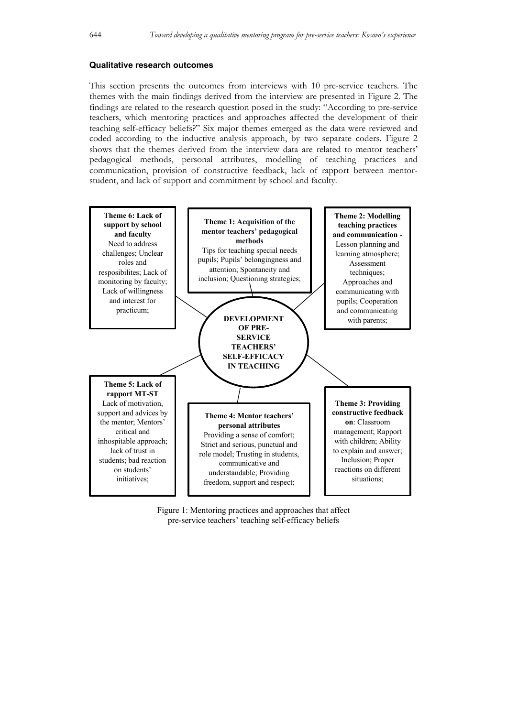#### **Qualitative research outcomes**

This section presents the outcomes from interviews with 10 pre-service teachers. The themes with the main findings derived from the interview are presented in Figure 2. The findings are related to the research question posed in the study: "According to pre-service teachers, which mentoring practices and approaches affected the development of their teaching self-efficacy beliefs?" Six major themes emerged as the data were reviewed and coded according to the inductive analysis approach, by two separate coders. Figure 2 shows that the themes derived from the interview data are related to mentor teachers' pedagogical methods, personal attributes, modelling of teaching practices and communication, provision of constructive feedback, lack of rapport between mentorstudent, and lack of support and commitment by school and faculty.



Figure 1: Mentoring practices and approaches that affect pre-service teachers' teaching self-efficacy beliefs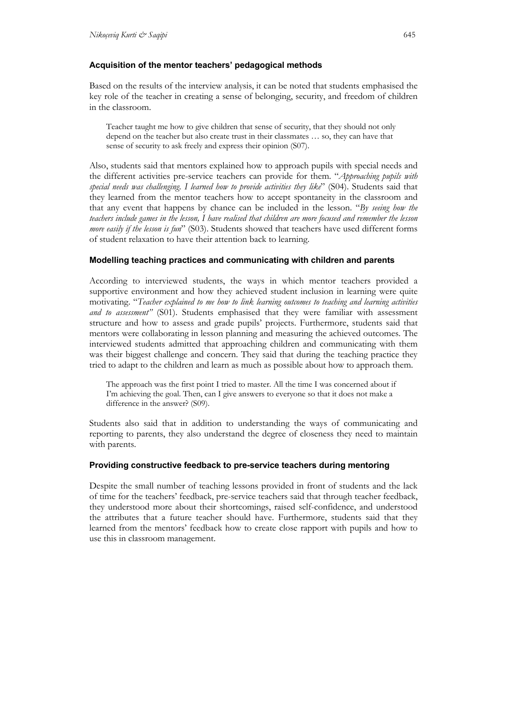## **Acquisition of the mentor teachers' pedagogical methods**

Based on the results of the interview analysis, it can be noted that students emphasised the key role of the teacher in creating a sense of belonging, security, and freedom of children in the classroom.

Teacher taught me how to give children that sense of security, that they should not only depend on the teacher but also create trust in their classmates … so, they can have that sense of security to ask freely and express their opinion (S07).

Also, students said that mentors explained how to approach pupils with special needs and the different activities pre-service teachers can provide for them. "*Approaching pupils with special needs was challenging. I learned how to provide activities they like*" (S04). Students said that they learned from the mentor teachers how to accept spontaneity in the classroom and that any event that happens by chance can be included in the lesson. "*By seeing how the teachers include games in the lesson, I have realised that children are more focused and remember the lesson more easily if the lesson is fun*" (S03). Students showed that teachers have used different forms of student relaxation to have their attention back to learning.

## **Modelling teaching practices and communicating with children and parents**

According to interviewed students, the ways in which mentor teachers provided a supportive environment and how they achieved student inclusion in learning were quite motivating. "*Teacher explained to me how to link learning outcomes to teaching and learning activities and to assessment"* (S01). Students emphasised that they were familiar with assessment structure and how to assess and grade pupils' projects. Furthermore, students said that mentors were collaborating in lesson planning and measuring the achieved outcomes. The interviewed students admitted that approaching children and communicating with them was their biggest challenge and concern. They said that during the teaching practice they tried to adapt to the children and learn as much as possible about how to approach them.

The approach was the first point I tried to master. All the time I was concerned about if I'm achieving the goal. Then, can I give answers to everyone so that it does not make a difference in the answer? (S09).

Students also said that in addition to understanding the ways of communicating and reporting to parents, they also understand the degree of closeness they need to maintain with parents.

## **Providing constructive feedback to pre-service teachers during mentoring**

Despite the small number of teaching lessons provided in front of students and the lack of time for the teachers' feedback, pre-service teachers said that through teacher feedback, they understood more about their shortcomings, raised self-confidence, and understood the attributes that a future teacher should have. Furthermore, students said that they learned from the mentors' feedback how to create close rapport with pupils and how to use this in classroom management.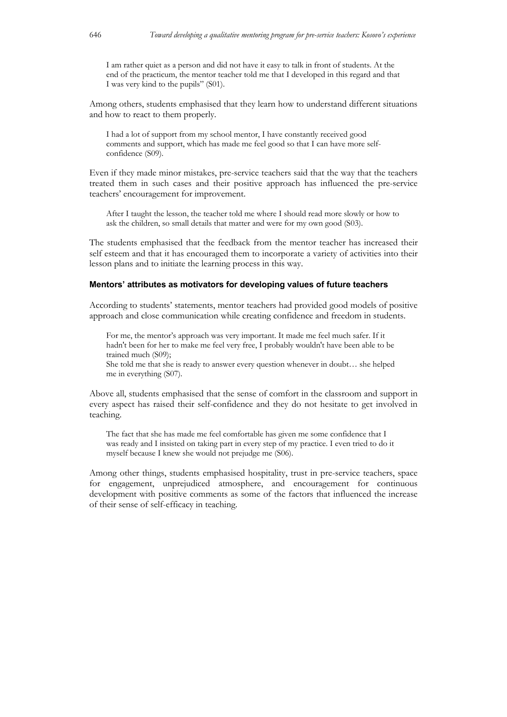I am rather quiet as a person and did not have it easy to talk in front of students. At the end of the practicum, the mentor teacher told me that I developed in this regard and that I was very kind to the pupils" (S01).

Among others, students emphasised that they learn how to understand different situations and how to react to them properly.

I had a lot of support from my school mentor, I have constantly received good comments and support, which has made me feel good so that I can have more selfconfidence (S09).

Even if they made minor mistakes, pre-service teachers said that the way that the teachers treated them in such cases and their positive approach has influenced the pre-service teachers' encouragement for improvement.

After I taught the lesson, the teacher told me where I should read more slowly or how to ask the children, so small details that matter and were for my own good (S03).

The students emphasised that the feedback from the mentor teacher has increased their self esteem and that it has encouraged them to incorporate a variety of activities into their lesson plans and to initiate the learning process in this way.

## **Mentors' attributes as motivators for developing values of future teachers**

According to students' statements, mentor teachers had provided good models of positive approach and close communication while creating confidence and freedom in students.

For me, the mentor's approach was very important. It made me feel much safer. If it hadn't been for her to make me feel very free, I probably wouldn't have been able to be trained much (S09);

She told me that she is ready to answer every question whenever in doubt… she helped me in everything (S07).

Above all, students emphasised that the sense of comfort in the classroom and support in every aspect has raised their self-confidence and they do not hesitate to get involved in teaching.

The fact that she has made me feel comfortable has given me some confidence that I was ready and I insisted on taking part in every step of my practice. I even tried to do it myself because I knew she would not prejudge me (S06).

Among other things, students emphasised hospitality, trust in pre-service teachers, space for engagement, unprejudiced atmosphere, and encouragement for continuous development with positive comments as some of the factors that influenced the increase of their sense of self-efficacy in teaching.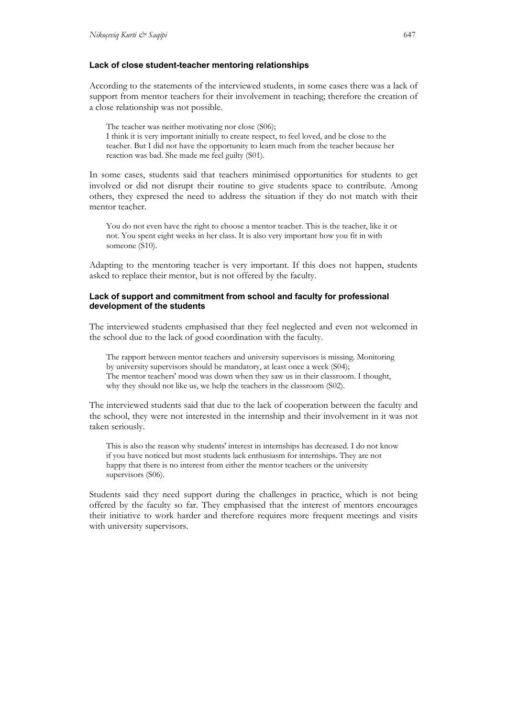#### **Lack of close student-teacher mentoring relationships**

According to the statements of the interviewed students, in some cases there was a lack of support from mentor teachers for their involvement in teaching; therefore the creation of a close relationship was not possible.

The teacher was neither motivating nor close (S06); I think it is very important initially to create respect, to feel loved, and be close to the teacher. But I did not have the opportunity to learn much from the teacher because her reaction was bad. She made me feel guilty (S01).

In some cases, students said that teachers minimised opportunities for students to get involved or did not disrupt their routine to give students space to contribute. Among others, they expresed the need to address the situation if they do not match with their mentor teacher.

You do not even have the right to choose a mentor teacher. This is the teacher, like it or not. You spent eight weeks in her class. It is also very important how you fit in with someone (S10).

Adapting to the mentoring teacher is very important. If this does not happen, students asked to replace their mentor, but is not offered by the faculty.

#### **Lack of support and commitment from school and faculty for professional development of the students**

The interviewed students emphasised that they feel neglected and even not welcomed in the school due to the lack of good coordination with the faculty.

The rapport between mentor teachers and university supervisors is missing. Monitoring by university supervisors should be mandatory, at least once a week (S04); The mentor teachers' mood was down when they saw us in their classroom. I thought, why they should not like us, we help the teachers in the classroom (S02).

The interviewed students said that due to the lack of cooperation between the faculty and the school, they were not interested in the internship and their involvement in it was not taken seriously.

This is also the reason why students' interest in internships has decreased. I do not know if you have noticed but most students lack enthusiasm for internships. They are not happy that there is no interest from either the mentor teachers or the university supervisors (S06).

Students said they need support during the challenges in practice, which is not being offered by the faculty so far. They emphasised that the interest of mentors encourages their initiative to work harder and therefore requires more frequent meetings and visits with university supervisors.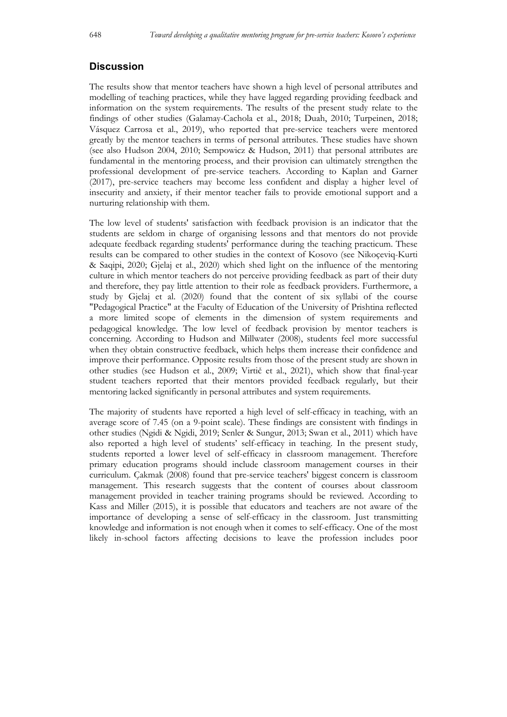## **Discussion**

The results show that mentor teachers have shown a high level of personal attributes and modelling of teaching practices, while they have lagged regarding providing feedback and information on the system requirements. The results of the present study relate to the findings of other studies (Galamay-Cachola et al., 2018; Duah, 2010; Turpeinen, 2018; Vásquez Carrosa et al., 2019), who reported that pre-service teachers were mentored greatly by the mentor teachers in terms of personal attributes. These studies have shown (see also Hudson 2004, 2010; Sempowicz & Hudson, 2011) that personal attributes are fundamental in the mentoring process, and their provision can ultimately strengthen the professional development of pre-service teachers. According to Kaplan and Garner (2017), pre-service teachers may become less confident and display a higher level of insecurity and anxiety, if their mentor teacher fails to provide emotional support and a nurturing relationship with them.

The low level of students' satisfaction with feedback provision is an indicator that the students are seldom in charge of organising lessons and that mentors do not provide adequate feedback regarding students' performance during the teaching practicum. These results can be compared to other studies in the context of Kosovo (see Nikoçeviq-Kurti & Saqipi, 2020; Gjelaj et al., 2020) which shed light on the influence of the mentoring culture in which mentor teachers do not perceive providing feedback as part of their duty and therefore, they pay little attention to their role as feedback providers. Furthermore, a study by Gjelaj et al. (2020) found that the content of six syllabi of the course "Pedagogical Practice" at the Faculty of Education of the University of Prishtina reflected a more limited scope of elements in the dimension of system requirements and pedagogical knowledge. The low level of feedback provision by mentor teachers is concerning. According to Hudson and Millwater (2008), students feel more successful when they obtain constructive feedback, which helps them increase their confidence and improve their performance. Opposite results from those of the present study are shown in other studies (see Hudson et al., 2009; Virtič et al., 2021), which show that final-year student teachers reported that their mentors provided feedback regularly, but their mentoring lacked significantly in personal attributes and system requirements.

The majority of students have reported a high level of self-efficacy in teaching, with an average score of 7.45 (on a 9-point scale). These findings are consistent with findings in other studies (Ngidi & Ngidi, 2019; Senler & Sungur, 2013; Swan et al., 2011) which have also reported a high level of students' self-efficacy in teaching. In the present study, students reported a lower level of self-efficacy in classroom management. Therefore primary education programs should include classroom management courses in their curriculum. Çakmak (2008) found that pre-service teachers' biggest concern is classroom management. This research suggests that the content of courses about classroom management provided in teacher training programs should be reviewed. According to Kass and Miller (2015), it is possible that educators and teachers are not aware of the importance of developing a sense of self-efficacy in the classroom. Just transmitting knowledge and information is not enough when it comes to self-efficacy. One of the most likely in-school factors affecting decisions to leave the profession includes poor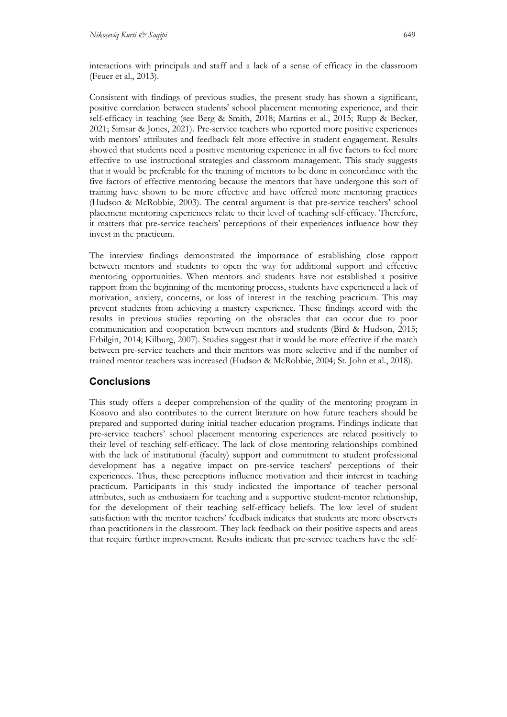Consistent with findings of previous studies, the present study has shown a significant, positive correlation between students' school placement mentoring experience, and their self-efficacy in teaching (see Berg & Smith, 2018; Martins et al., 2015; Rupp & Becker, 2021; Simsar & Jones, 2021). Pre-service teachers who reported more positive experiences with mentors' attributes and feedback felt more effective in student engagement. Results showed that students need a positive mentoring experience in all five factors to feel more effective to use instructional strategies and classroom management. This study suggests that it would be preferable for the training of mentors to be done in concordance with the five factors of effective mentoring because the mentors that have undergone this sort of training have shown to be more effective and have offered more mentoring practices (Hudson & McRobbie, 2003). The central argument is that pre-service teachers' school placement mentoring experiences relate to their level of teaching self-efficacy. Therefore, it matters that pre-service teachers' perceptions of their experiences influence how they invest in the practicum.

The interview findings demonstrated the importance of establishing close rapport between mentors and students to open the way for additional support and effective mentoring opportunities. When mentors and students have not established a positive rapport from the beginning of the mentoring process, students have experienced a lack of motivation, anxiety, concerns, or loss of interest in the teaching practicum. This may prevent students from achieving a mastery experience. These findings accord with the results in previous studies reporting on the obstacles that can occur due to poor communication and cooperation between mentors and students (Bird & Hudson, 2015; Erbilgin, 2014; Kilburg, 2007). Studies suggest that it would be more effective if the match between pre-service teachers and their mentors was more selective and if the number of trained mentor teachers was increased (Hudson & McRobbie, 2004; St. John et al., 2018).

# **Conclusions**

This study offers a deeper comprehension of the quality of the mentoring program in Kosovo and also contributes to the current literature on how future teachers should be prepared and supported during initial teacher education programs. Findings indicate that pre-service teachers' school placement mentoring experiences are related positively to their level of teaching self-efficacy. The lack of close mentoring relationships combined with the lack of institutional (faculty) support and commitment to student professional development has a negative impact on pre-service teachers' perceptions of their experiences. Thus, these perceptions influence motivation and their interest in teaching practicum. Participants in this study indicated the importance of teacher personal attributes, such as enthusiasm for teaching and a supportive student-mentor relationship, for the development of their teaching self-efficacy beliefs. The low level of student satisfaction with the mentor teachers' feedback indicates that students are more observers than practitioners in the classroom. They lack feedback on their positive aspects and areas that require further improvement. Results indicate that pre-service teachers have the self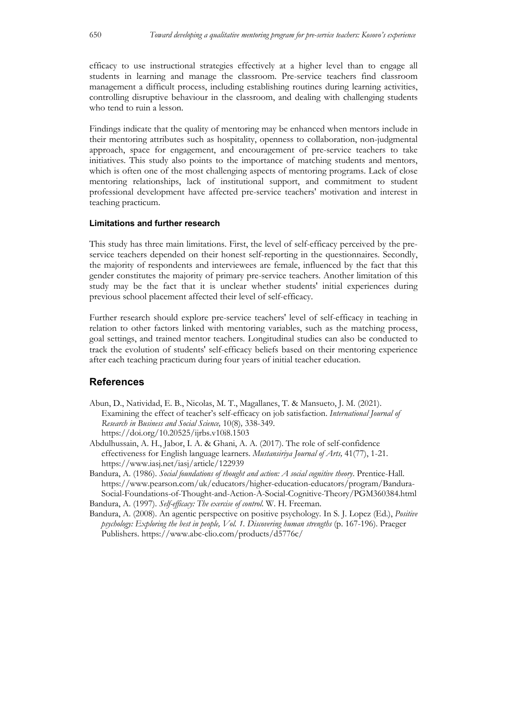efficacy to use instructional strategies effectively at a higher level than to engage all students in learning and manage the classroom. Pre-service teachers find classroom management a difficult process, including establishing routines during learning activities, controlling disruptive behaviour in the classroom, and dealing with challenging students who tend to ruin a lesson.

Findings indicate that the quality of mentoring may be enhanced when mentors include in their mentoring attributes such as hospitality, openness to collaboration, non-judgmental approach, space for engagement, and encouragement of pre-service teachers to take initiatives. This study also points to the importance of matching students and mentors, which is often one of the most challenging aspects of mentoring programs. Lack of close mentoring relationships, lack of institutional support, and commitment to student professional development have affected pre-service teachers' motivation and interest in teaching practicum.

## **Limitations and further research**

This study has three main limitations. First, the level of self-efficacy perceived by the preservice teachers depended on their honest self-reporting in the questionnaires. Secondly, the majority of respondents and interviewees are female, influenced by the fact that this gender constitutes the majority of primary pre-service teachers. Another limitation of this study may be the fact that it is unclear whether students' initial experiences during previous school placement affected their level of self-efficacy.

Further research should explore pre-service teachers' level of self-efficacy in teaching in relation to other factors linked with mentoring variables, such as the matching process, goal settings, and trained mentor teachers. Longitudinal studies can also be conducted to track the evolution of students' self-efficacy beliefs based on their mentoring experience after each teaching practicum during four years of initial teacher education.

## **References**

- Abun, D., Natividad, E. B., Nicolas, M. T., Magallanes, T. & Mansueto, J. M. (2021). Examining the effect of teacher's self-efficacy on job satisfaction. *International Journal of Research in Business and Social Science,* 10(8)*,* 338-349. https://doi.org/10.20525/ijrbs.v10i8.1503
- Abdulhussain, A. H., Jabor, I. A. & Ghani, A. A. (2017). The role of self-confidence effectiveness for English language learners. *Mustansiriya Journal of Arts,* 41(77), 1-21. https://www.iasj.net/iasj/article/122939

Bandura, A. (1986). *Social foundations of thought and action: A social cognitive theory*. Prentice-Hall. https://www.pearson.com/uk/educators/higher-education-educators/program/Bandura-Social-Foundations-of-Thought-and-Action-A-Social-Cognitive-Theory/PGM360384.html Bandura, A. (1997). *Self-efficacy: The exercise of control*. W. H. Freeman.

Bandura, A. (2008). An agentic perspective on positive psychology*.* In S. J. Lopez (Ed.), *Positive psychology: Exploring the best in people, Vol. 1. Discovering human strengths* (p. 167-196). Praeger Publishers. https://www.abc-clio.com/products/d5776c/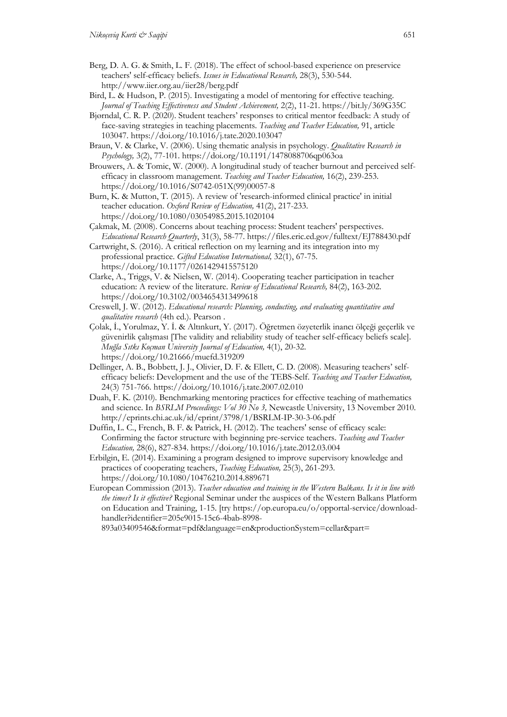- Berg, D. A. G. & Smith, L. F. (2018). The effect of school-based experience on preservice teachers' self-efficacy beliefs. *Issues in Educational Research,* 28(3), 530-544. http://www.iier.org.au/iier28/berg.pdf
- Bird, L. & Hudson, P. (2015). Investigating a model of mentoring for effective teaching. *Journal of Teaching Effectiveness and Student Achievement,* 2(2), 11-21. https://bit.ly/369G35C
- Bjørndal, C. R. P. (2020). Student teachers' responses to critical mentor feedback: A study of face-saving strategies in teaching placements. *Teaching and Teacher Education,* 91, article 103047. https://doi.org/10.1016/j.tate.2020.103047
- Braun, V. & Clarke, V. (2006). Using thematic analysis in psychology. *Qualitative Research in Psychology,* 3(2), 77-101. https://doi.org/10.1191/1478088706qp063oa
- Brouwers, A. & Tomic, W. (2000). A longitudinal study of teacher burnout and perceived selfefficacy in classroom management. *Teaching and Teacher Education,* 16(2), 239-253. https://doi.org/10.1016/S0742-051X(99)00057-8
- Burn, K. & Mutton, T. (2015). A review of 'research-informed clinical practice' in initial teacher education. *Oxford Review of Education,* 41(2), 217-233. https://doi.org/10.1080/03054985.2015.1020104
- Çakmak, M. (2008). Concerns about teaching process: Student teachers' perspectives. *Educational Research Quarterly*, 31(3), 58-77. https://files.eric.ed.gov/fulltext/EJ788430.pdf
- Cartwright, S. (2016). A critical reflection on my learning and its integration into my professional practice. *Gifted Education International,* 32(1), 67-75. https://doi.org/10.1177/0261429415575120
- Clarke, A., Triggs, V. & Nielsen, W. (2014). Cooperating teacher participation in teacher education: A review of the literature. *Review of Educational Research,* 84(2), 163-202. https://doi.org/10.3102/0034654313499618
- Creswell, J. W. (2012). *Educational research: Planning, conducting, and evaluating quantitative and qualitative research* (4th ed.). Pearson .
- Çolak, İ., Yorulmaz, Y. İ. & Altınkurt, Y. (2017). Öğretmen özyeterlik inancı ölçeği geçerlik ve güvenirlik çalışması [The validity and reliability study of teacher self-efficacy beliefs scale]. *Muğla Sıtkı Koçman University Journal of Education,* 4(1), 20-32. https://doi.org/10.21666/muefd.319209
- Dellinger, A. B., Bobbett, J. J., Olivier, D. F. & Ellett, C. D. (2008). Measuring teachers' selfefficacy beliefs: Development and the use of the TEBS-Self. *Teaching and Teacher Education,*  24(3) 751-766. https://doi.org/10.1016/j.tate.2007.02.010
- Duah, F. K. (2010). Benchmarking mentoring practices for effective teaching of mathematics and science. In *BSRLM Proceedings: Vol 30 No 3,* Newcastle University, 13 November 2010. http://eprints.chi.ac.uk/id/eprint/3798/1/BSRLM-IP-30-3-06.pdf
- Duffin, L. C., French, B. F. & Patrick, H. (2012). The teachers' sense of efficacy scale: Confirming the factor structure with beginning pre-service teachers. *Teaching and Teacher Education,* 28(6), 827-834. https://doi.org/10.1016/j.tate.2012.03.004
- Erbilgin, E. (2014). Examining a program designed to improve supervisory knowledge and practices of cooperating teachers, *Teaching Education,* 25(3), 261-293. https://doi.org/10.1080/10476210.2014.889671
- European Commission (2013). *Teacher education and training in the Western Balkans. Is it in line with the times? Is it effective?* Regional Seminar under the auspices of the Western Balkans Platform on Education and Training, 1-15. [try https://op.europa.eu/o/opportal-service/downloadhandler?identifier=205e9015-15c6-4bab-8998-

893a03409546&format=pdf&language=en&productionSystem=cellar&part=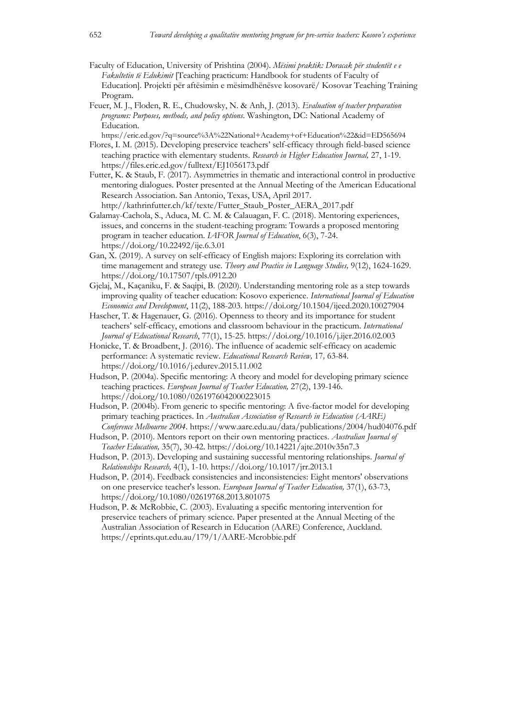- Faculty of Education, University of Prishtina (2004). *Mësimi praktik: Doracak për studentët e e Fakultetin të Edukimit* [Teaching practicum: Handbook for students of Faculty of Education]. Projekti për aftësimin e mësimdhënësve kosovarë/ Kosovar Teaching Training Program.
- Feuer, M. J., Floden, R. E., Chudowsky, N. & Anh, J. (2013). *Evaluation of teacher preparation programs: Purposes, methods, and policy options*. Washington, DC: National Academy of Education.
- https://eric.ed.gov/?q=source%3A%22National+Academy+of+Education%22&id=ED565694 Flores, I. M. (2015). Developing preservice teachers' self-efficacy through field-based science teaching practice with elementary students. *Research in Higher Education Journal,* 27, 1-19. https://files.eric.ed.gov/fulltext/EJ1056173.pdf
- Futter, K. & Staub, F. (2017). Asymmetries in thematic and interactional control in productive mentoring dialogues. Poster presented at the Annual Meeting of the American Educational Research Association. San Antonio, Texas, USA, April 2017. http://kathrinfutter.ch/kf/texte/Futter\_Staub\_Poster\_AERA\_2017.pdf
- Galamay-Cachola, S., Aduca, M. C. M. & Calauagan, F. C. (2018). Mentoring experiences, issues, and concerns in the student-teaching program: Towards a proposed mentoring program in teacher education. *IAFOR Journal of Education*, 6(3), 7-24. https://doi.org/10.22492/ije.6.3.01
- Gan, X. (2019). A survey on self-efficacy of English majors: Exploring its correlation with time management and strategy use. *Theory and Practice in Language Studies,* 9(12), 1624-1629. https://doi.org/10.17507/tpls.0912.20
- Gjelaj, M., Kaçaniku, F. & Saqipi, B. (2020). Understanding mentoring role as a step towards improving quality of teacher education: Kosovo experience. *International Journal of Education Economics and Development*, 11(2), 188-203. https://doi.org/10.1504/ijeed.2020.10027904
- Hascher, T. & Hagenauer, G. (2016). Openness to theory and its importance for student teachers' self-efficacy, emotions and classroom behaviour in the practicum. *International Journal of Educational Research*, 77(1), 15-25. https://doi.org/10.1016/j.ijer.2016.02.003
- Honicke, T. & Broadbent, J. (2016). The influence of academic self-efficacy on academic performance: A systematic review. *Educational Research Review,* 17*,* 63-84. https://doi.org/10.1016/j.edurev.2015.11.002
- Hudson, P. (2004a). Specific mentoring: A theory and model for developing primary science teaching practices. *European Journal of Teacher Education,* 27(2), 139-146. https://doi.org/10.1080/0261976042000223015
- Hudson, P. (2004b). From generic to specific mentoring: A five-factor model for developing primary teaching practices. In *Australian Association of Research in Education (AARE) Conference Melbourne 2004*. https://www.aare.edu.au/data/publications/2004/hud04076.pdf
- Hudson, P. (2010). Mentors report on their own mentoring practices. *Australian Journal of Teacher Education,* 35(7), 30-42. https://doi.org/10.14221/ajte.2010v35n7.3
- Hudson, P. (2013). Developing and sustaining successful mentoring relationships. *Journal of Relationships Research,* 4(1), 1-10. https://doi.org/10.1017/jrr.2013.1
- Hudson, P. (2014). Feedback consistencies and inconsistencies: Eight mentors' observations on one preservice teacher's lesson. *European Journal of Teacher Education,* 37(1), 63-73, https://doi.org/10.1080/02619768.2013.801075
- Hudson, P. & McRobbie, C. (2003). Evaluating a specific mentoring intervention for preservice teachers of primary science. Paper presented at the Annual Meeting of the Australian Association of Research in Education (AARE) Conference, Auckland. https://eprints.qut.edu.au/179/1/AARE-Mcrobbie.pdf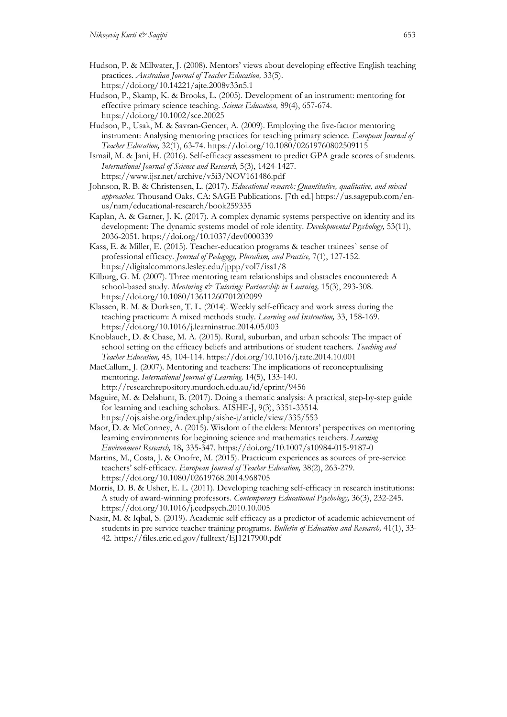- Hudson, P. & Millwater, J. (2008). Mentors' views about developing effective English teaching practices. *Australian Journal of Teacher Education,* 33(5). https://doi.org/10.14221/ajte.2008v33n5.1
- Hudson, P., Skamp, K. & Brooks, L. (2005). Development of an instrument: mentoring for effective primary science teaching. *Science Education,* 89(4), 657-674. https://doi.org/10.1002/sce.20025
- Hudson, P., Usak, M. & Savran-Gencer, A. (2009). Employing the five-factor mentoring instrument: Analysing mentoring practices for teaching primary science. *European Journal of Teacher Education,* 32(1), 63-74. https://doi.org/10.1080/02619760802509115
- Ismail, M. & Jani, H. (2016). Self-efficacy assessment to predict GPA grade scores of students. *International Journal of Science and Research,* 5(3), 1424-1427. https://www.ijsr.net/archive/v5i3/NOV161486.pdf
- Johnson, R. B. & Christensen, L. (2017). *Educational research: Quantitative, qualitative, and mixed approaches.* Thousand Oaks, CA: SAGE Publications. [7th ed.] https://us.sagepub.com/enus/nam/educational-research/book259335
- Kaplan, A. & Garner, J. K. (2017). A complex dynamic systems perspective on identity and its development: The dynamic systems model of role identity. *Developmental Psychology,* 53(11), 2036-2051. https://doi.org/10.1037/dev0000339
- Kass, E. & Miller, E. (2015). Teacher-education programs & teacher trainees` sense of professional efficacy. *Journal of Pedagogy, Pluralism, and Practice,* 7(1), 127-152. https://digitalcommons.lesley.edu/jppp/vol7/iss1/8
- Kilburg, G. M. (2007). Three mentoring team relationships and obstacles encountered: A school-based study. *Mentoring & Tutoring: Partnership in Learning*, 15(3), 293-308. https://doi.org/10.1080/13611260701202099
- Klassen, R. M. & Durksen, T. L. (2014). Weekly self-efficacy and work stress during the teaching practicum: A mixed methods study. *Learning and Instruction,* 33, 158-169. https://doi.org/10.1016/j.learninstruc.2014.05.003
- Knoblauch, D. & Chase, M. A. (2015). Rural, suburban, and urban schools: The impact of school setting on the efficacy beliefs and attributions of student teachers. *Teaching and Teacher Education,* 45*,* 104-114. https://doi.org/10.1016/j.tate.2014.10.001
- MacCallum, J. (2007). Mentoring and teachers: The implications of reconceptualising mentoring. *International Journal of Learning,* 14(5), 133-140. http://researchrepository.murdoch.edu.au/id/eprint/9456
- Maguire, M. & Delahunt, B. (2017). Doing a thematic analysis: A practical, step-by-step guide for learning and teaching scholars. AISHE-J, 9(3), 3351-33514. https://ojs.aishe.org/index.php/aishe-j/article/view/335/553
- Maor, D. & McConney, A. (2015). Wisdom of the elders: Mentors' perspectives on mentoring learning environments for beginning science and mathematics teachers. *Learning Environment Research,* 18**,** 335-347. https://doi.org/10.1007/s10984-015-9187-0
- Martins, M., Costa, J. & Onofre, M. (2015). Practicum experiences as sources of pre-service teachers' self-efficacy. *European Journal of Teacher Education,* 38(2), 263-279. https://doi.org/10.1080/02619768.2014.968705
- Morris, D. B. & Usher, E. L. (2011). Developing teaching self-efficacy in research institutions: A study of award-winning professors. *Contemporary Educational Psychology,* 36(3), 232-245. https://doi.org/10.1016/j.cedpsych.2010.10.005
- Nasir, M. & Iqbal, S. (2019). Academic self efficacy as a predictor of academic achievement of students in pre service teacher training programs. *Bulletin of Education and Research,* 41(1), 33- 42. https://files.eric.ed.gov/fulltext/EJ1217900.pdf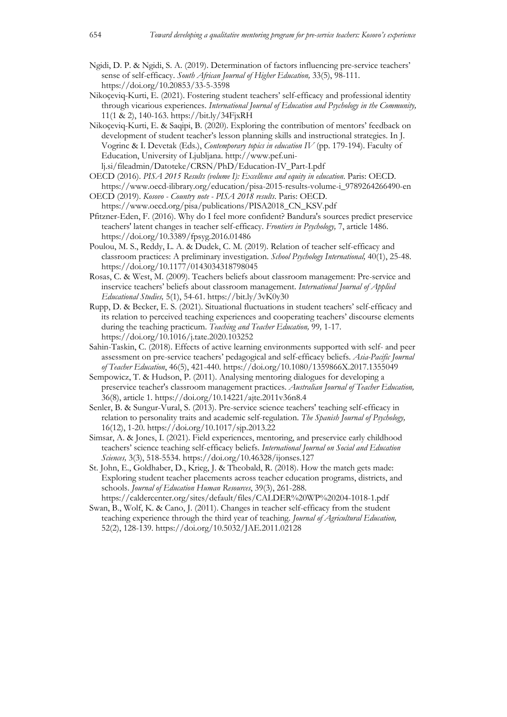- Ngidi, D. P. & Ngidi, S. A. (2019). Determination of factors influencing pre-service teachers' sense of self-efficacy. *South African Journal of Higher Education,* 33(5), 98-111. https://doi.org/10.20853/33-5-3598
- Nikoçeviq-Kurti, E. (2021). Fostering student teachers' self-efficacy and professional identity through vicarious experiences. *International Journal of Education and Psychology in the Community,*  11(1 & 2), 140-163. https://bit.ly/34FjxRH
- Nikoçeviq-Kurti, E. & Saqipi, B. (2020). Exploring the contribution of mentors' feedback on development of student teacher's lesson planning skills and instructional strategies. In J. Vogrinc & I. Devetak (Eds.), *Contemporary topics in education IV* (pp. 179-194). Faculty of Education, University of Ljubljana. http://www.pef.unilj.si/fileadmin/Datoteke/CRSN/PhD/Education-IV\_Part-I.pdf
- OECD (2016). *PISA 2015 Results (volume I): Excellence and equity in education*. Paris: OECD. https://www.oecd-ilibrary.org/education/pisa-2015-results-volume-i\_9789264266490-en
- OECD (2019). *Kosovo - Country note - PISA 2018 results*. Paris: OECD. https://www.oecd.org/pisa/publications/PISA2018\_CN\_KSV.pdf
- Pfitzner-Eden, F. (2016). Why do I feel more confident? Bandura's sources predict preservice teachers' latent changes in teacher self-efficacy. *Frontiers in Psychology,* 7, article 1486. https://doi.org/10.3389/fpsyg.2016.01486
- Poulou, M. S., Reddy, L. A. & Dudek, C. M. (2019). Relation of teacher self-efficacy and classroom practices: A preliminary investigation. *School Psychology International,* 40(1), 25-48. https://doi.org/10.1177/0143034318798045
- Rosas, C. & West, M. (2009). Teachers beliefs about classroom management: Pre-service and inservice teachers' beliefs about classroom management. *International Journal of Applied Educational Studies,* 5(1), 54-61. https://bit.ly/3vK0y30
- Rupp, D. & Becker, E. S. (2021). Situational fluctuations in student teachers' self-efficacy and its relation to perceived teaching experiences and cooperating teachers' discourse elements during the teaching practicum. *Teaching and Teacher Education,* 99*,* 1-17. https://doi.org/10.1016/j.tate.2020.103252
- Sahin-Taskin, C. (2018). Effects of active learning environments supported with self- and peer assessment on pre-service teachers' pedagogical and self-efficacy beliefs. *Asia-Pacific Journal of Teacher Education*, 46(5), 421-440. https://doi.org/10.1080/1359866X.2017.1355049
- Sempowicz, T. & Hudson, P. (2011). Analysing mentoring dialogues for developing a preservice teacher's classroom management practices. *Australian Journal of Teacher Education,*  36(8), article 1. https://doi.org/10.14221/ajte.2011v36n8.4
- Senler, B. & Sungur-Vural, S. (2013). Pre-service science teachers' teaching self-efficacy in relation to personality traits and academic self-regulation. *The Spanish Journal of Psychology,*  16(12), 1-20. https://doi.org/10.1017/sjp.2013.22
- Simsar, A. & Jones, I. (2021). Field experiences, mentoring, and preservice early childhood teachers' science teaching self-efficacy beliefs. *International Journal on Social and Education Sciences,* 3(3), 518-5534. https://doi.org/10.46328/ijonses.127
- St. John, E., Goldhaber, D., Krieg, J. & Theobald, R. (2018). How the match gets made: Exploring student teacher placements across teacher education programs, districts, and schools. *Journal of Education Human Resources*, 39(3), 261-288. https://caldercenter.org/sites/default/files/CALDER%20WP%20204-1018-1.pdf
- Swan, B., Wolf, K. & Cano, J. (2011). Changes in teacher self-efficacy from the student teaching experience through the third year of teaching. *Journal of Agricultural Education,*  52(2), 128-139. https://doi.org/10.5032/JAE.2011.02128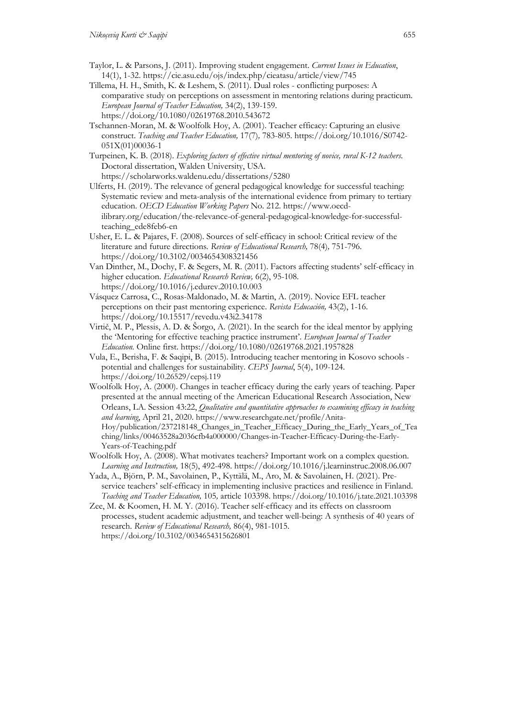- Taylor, L. & Parsons, J. (2011). Improving student engagement. *Current Issues in Education*, 14(1), 1-32. https://cie.asu.edu/ojs/index.php/cieatasu/article/view/745
- Tillema, H. H., Smith, K. & Leshem, S. (2011). Dual roles conflicting purposes: A comparative study on perceptions on assessment in mentoring relations during practicum. *European Journal of Teacher Education,* 34(2), 139-159. https://doi.org/10.1080/02619768.2010.543672
- Tschannen-Moran, M. & Woolfolk Hoy, A. (2001). Teacher efficacy: Capturing an elusive construct. *Teaching and Teacher Education,* 17(7)*,* 783-805. https://doi.org/10.1016/S0742- 051X(01)00036-1

Turpeinen, K. B. (2018). *Exploring factors of effective virtual mentoring of novice, rural K-12 teachers*. Doctoral dissertation, Walden University, USA.

https://scholarworks.waldenu.edu/dissertations/5280

- Ulferts, H. (2019). The relevance of general pedagogical knowledge for successful teaching: Systematic review and meta-analysis of the international evidence from primary to tertiary education. *OECD Education Working Papers* No. 212. https://www.oecdilibrary.org/education/the-relevance-of-general-pedagogical-knowledge-for-successfulteaching\_ede8feb6-en
- Usher, E. L. & Pajares, F. (2008). Sources of self-efficacy in school: Critical review of the literature and future directions*. Review of Educational Research,* 78(4)*,* 751-796. https://doi.org/10.3102/0034654308321456
- Van Dinther, M., Dochy, F. & Segers, M. R. (2011). Factors affecting students' self-efficacy in higher education. *Educational Research Review,* 6(2), 95-108. https://doi.org/10.1016/j.edurev.2010.10.003
- Vásquez Carrosa, C., Rosas-Maldonado, M. & Martin, A. (2019). Novice EFL teacher perceptions on their past mentoring experience. *Revista Educación,* 43(2), 1-16. https://doi.org/10.15517/revedu.v43i2.34178
- Virtič, M. P., Plessis, A. D. & Šorgo, A. (2021). In the search for the ideal mentor by applying the 'Mentoring for effective teaching practice instrument'. *European Journal of Teacher Education.* Online first. https://doi.org/10.1080/02619768.2021.1957828
- Vula, E., Berisha, F. & Saqipi, B. (2015). Introducing teacher mentoring in Kosovo schools potential and challenges for sustainability. *CEPS Journal*, 5(4), 109-124. https://doi.org/10.26529/cepsj.119
- Woolfolk Hoy, A. (2000). Changes in teacher efficacy during the early years of teaching. Paper presented at the annual meeting of the American Educational Research Association, New Orleans, LA. Session 43:22, *Qualitative and quantitative approaches to examining efficacy in teaching and learning*, April 21, 2020. https://www.researchgate.net/profile/Anita-Hoy/publication/237218148\_Changes\_in\_Teacher\_Efficacy\_During\_the\_Early\_Years\_of\_Tea ching/links/00463528a2036cfb4a000000/Changes-in-Teacher-Efficacy-During-the-Early-Years-of-Teaching.pdf
- Woolfolk Hoy, A. (2008). What motivates teachers? Important work on a complex question. *Learning and Instruction,* 18(5), 492-498. https://doi.org/10.1016/j.learninstruc.2008.06.007
- Yada, A., Björn, P. M., Savolainen, P., Kyttälä, M., Aro, M. & Savolainen, H. (2021). Preservice teachers' self-efficacy in implementing inclusive practices and resilience in Finland. *Teaching and Teacher Education,* 105*,* article 103398. https://doi.org/10.1016/j.tate.2021.103398
- Zee, M. & Koomen, H. M. Y. (2016). Teacher self-efficacy and its effects on classroom processes, student academic adjustment, and teacher well-being: A synthesis of 40 years of research. *Review of Educational Research,* 86(4), 981-1015. https://doi.org/10.3102/0034654315626801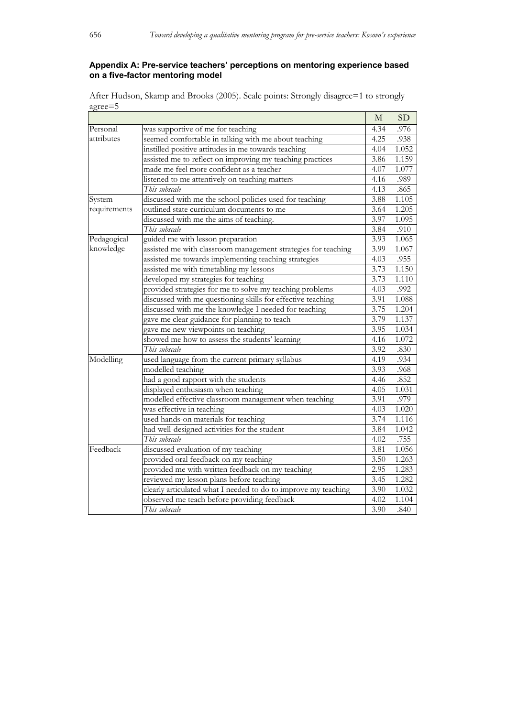## **Appendix A: Pre-service teachers' perceptions on mentoring experience based on a five-factor mentoring model**

After Hudson, Skamp and Brooks (2005). Scale points: Strongly disagree=1 to strongly agree=5

|              |                                                                | M    | SD    |
|--------------|----------------------------------------------------------------|------|-------|
| Personal     | was supportive of me for teaching                              | 4.34 | .976  |
| attributes   | seemed comfortable in talking with me about teaching           |      | .938  |
|              | instilled positive attitudes in me towards teaching            | 4.04 | 1.052 |
|              | assisted me to reflect on improving my teaching practices      | 3.86 | 1.159 |
|              | made me feel more confident as a teacher                       | 4.07 | 1.077 |
|              | listened to me attentively on teaching matters                 | 4.16 | .989  |
|              | This subscale                                                  | 4.13 | .865  |
| System       | discussed with me the school policies used for teaching        | 3.88 | 1.105 |
| requirements | outlined state curriculum documents to me                      | 3.64 | 1.205 |
|              | discussed with me the aims of teaching.                        | 3.97 | 1.095 |
|              | This subscale                                                  | 3.84 | .910  |
| Pedagogical  | guided me with lesson preparation                              | 3.93 | 1.065 |
| knowledge    | assisted me with classroom management strategies for teaching  | 3.99 | 1.067 |
|              | assisted me towards implementing teaching strategies           | 4.03 | .955  |
|              | assisted me with timetabling my lessons                        | 3.73 | 1.150 |
|              | developed my strategies for teaching                           | 3.73 | 1.110 |
|              | provided strategies for me to solve my teaching problems       | 4.03 | .992  |
|              | discussed with me questioning skills for effective teaching    | 3.91 | 1.088 |
|              | discussed with me the knowledge I needed for teaching          | 3.75 | 1.204 |
|              | gave me clear guidance for planning to teach                   | 3.79 | 1.137 |
|              | gave me new viewpoints on teaching                             | 3.95 | 1.034 |
|              | showed me how to assess the students' learning                 | 4.16 | 1.072 |
|              | This subscale                                                  | 3.92 | .830  |
| Modelling    | used language from the current primary syllabus                | 4.19 | .934  |
|              | modelled teaching                                              | 3.93 | .968  |
|              | had a good rapport with the students                           | 4.46 | .852  |
|              | displayed enthusiasm when teaching                             | 4.05 | 1.031 |
|              | modelled effective classroom management when teaching          | 3.91 | .979  |
|              | was effective in teaching                                      | 4.03 | 1.020 |
|              | used hands-on materials for teaching                           | 3.74 | 1.116 |
|              | had well-designed activities for the student                   | 3.84 | 1.042 |
|              | This subscale                                                  | 4.02 | .755  |
| Feedback     | discussed evaluation of my teaching                            | 3.81 | 1.056 |
|              | provided oral feedback on my teaching                          | 3.50 | 1.263 |
|              | provided me with written feedback on my teaching               | 2.95 | 1.283 |
|              | reviewed my lesson plans before teaching                       | 3.45 | 1.282 |
|              | clearly articulated what I needed to do to improve my teaching | 3.90 | 1.032 |
|              | observed me teach before providing feedback                    | 4.02 | 1.104 |
|              | This subscale                                                  | 3.90 | .840  |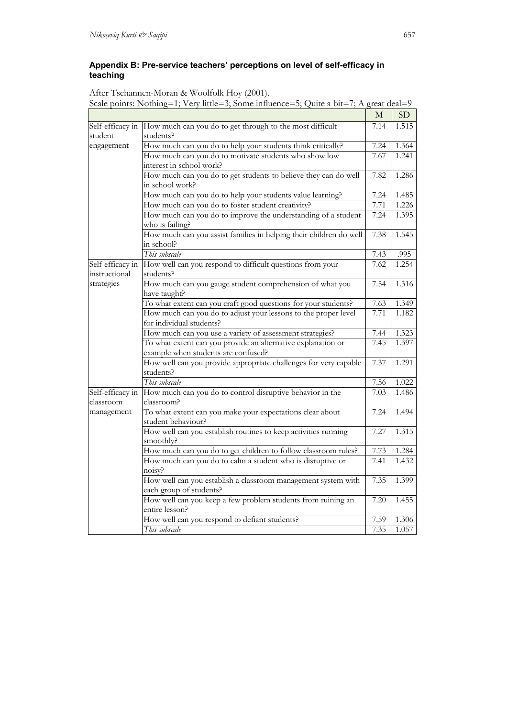## **Appendix B: Pre-service teachers' perceptions on level of self-efficacy in teaching**

| After Tschannen-Moran & Woolfolk Hoy (2001).                                            |
|-----------------------------------------------------------------------------------------|
| Scale points: Nothing=1; Very little=3; Some influence=5; Quite a bit=7; A great deal=9 |

|                  |                                                                    | $\mathbf M$ | SD    |
|------------------|--------------------------------------------------------------------|-------------|-------|
| Self-efficacy in | How much can you do to get through to the most difficult           | 7.14        | 1.515 |
| student          | students?                                                          |             |       |
| engagement       | How much can you do to help your students think critically?        |             | 1.364 |
|                  | How much can you do to motivate students who show low              | 7.67        | 1.241 |
|                  | interest in school work?                                           |             |       |
|                  | How much can you do to get students to believe they can do well    | 7.82        | 1.286 |
|                  | in school work?                                                    |             |       |
|                  | How much can you do to help your students value learning?          | 7.24        | 1.485 |
|                  | How much can you do to foster student creativity?                  | 7.71        | 1.226 |
|                  | How much can you do to improve the understanding of a student      | 7.24        | 1.395 |
|                  | who is failing?                                                    |             |       |
|                  | How much can you assist families in helping their children do well | 7.38        | 1.545 |
|                  | in school?                                                         |             |       |
|                  | This subscale                                                      | 7.43        | .995  |
| Self-efficacy in | How well can you respond to difficult questions from your          | 7.62        | 1.254 |
| instructional    | students?                                                          |             |       |
| strategies       | How much can you gauge student comprehension of what you           | 7.54        | 1.316 |
|                  | have taught?                                                       |             |       |
|                  | To what extent can you craft good questions for your students?     | 7.63        | 1.349 |
|                  | How much can you do to adjust your lessons to the proper level     | 7.71        | 1.182 |
|                  | for individual students?                                           |             |       |
|                  | How much can you use a variety of assessment strategies?           | 7.44        | 1.323 |
|                  | To what extent can you provide an alternative explanation or       | 7.45        | 1.397 |
|                  | example when students are confused?                                |             |       |
|                  | How well can you provide appropriate challenges for very capable   | 7.37        | 1.291 |
|                  | students?                                                          |             |       |
|                  | This subscale                                                      | 7.56        | 1.022 |
| Self-efficacy in | How much can you do to control disruptive behavior in the          | 7.03        | 1.486 |
| classroom        | classroom?                                                         |             |       |
| management       | To what extent can you make your expectations clear about          | 7.24        | 1.494 |
|                  | student behaviour?                                                 |             |       |
|                  | How well can you establish routines to keep activities running     | 7.27        | 1.315 |
|                  | smoothly?                                                          |             |       |
|                  | How much can you do to get children to follow classroom rules?     | 7.73        | 1.284 |
|                  | How much can you do to calm a student who is disruptive or         | 7.41        | 1.432 |
|                  | noisy?                                                             |             |       |
|                  | How well can you establish a classroom management system with      | 7.35        | 1.399 |
|                  | each group of students?                                            |             |       |
|                  | How well can you keep a few problem students from ruining an       | 7.20        | 1.455 |
|                  | entire lesson?                                                     |             |       |
|                  | How well can you respond to defiant students?                      | 7.59        | 1.306 |
|                  | This subscale                                                      | 7.35        | 1.057 |